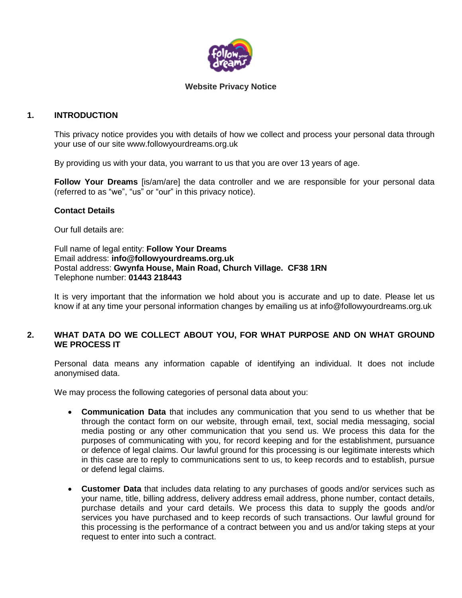

### **Website Privacy Notice**

# **1. INTRODUCTION**

This privacy notice provides you with details of how we collect and process your personal data through your use of our site www.followyourdreams.org.uk

By providing us with your data, you warrant to us that you are over 13 years of age.

**Follow Your Dreams** [is/am/are] the data controller and we are responsible for your personal data (referred to as "we", "us" or "our" in this privacy notice).

### **Contact Details**

Our full details are:

Full name of legal entity: **Follow Your Dreams** Email address: **info@followyourdreams.org.uk** Postal address: **Gwynfa House, Main Road, Church Village. CF38 1RN** Telephone number: **01443 218443**

It is very important that the information we hold about you is accurate and up to date. Please let us know if at any time your personal information changes by emailing us at info@followyourdreams.org.uk

## **2. WHAT DATA DO WE COLLECT ABOUT YOU, FOR WHAT PURPOSE AND ON WHAT GROUND WE PROCESS IT**

Personal data means any information capable of identifying an individual. It does not include anonymised data.

We may process the following categories of personal data about you:

- **Communication Data** that includes any communication that you send to us whether that be through the contact form on our website, through email, text, social media messaging, social media posting or any other communication that you send us. We process this data for the purposes of communicating with you, for record keeping and for the establishment, pursuance or defence of legal claims. Our lawful ground for this processing is our legitimate interests which in this case are to reply to communications sent to us, to keep records and to establish, pursue or defend legal claims.
- **Customer Data** that includes data relating to any purchases of goods and/or services such as your name, title, billing address, delivery address email address, phone number, contact details, purchase details and your card details. We process this data to supply the goods and/or services you have purchased and to keep records of such transactions. Our lawful ground for this processing is the performance of a contract between you and us and/or taking steps at your request to enter into such a contract.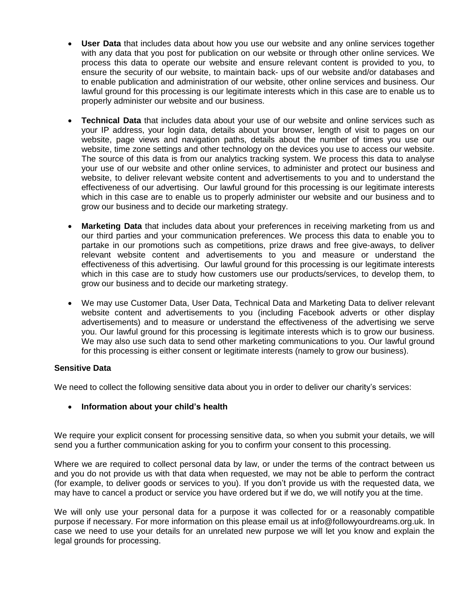- **User Data** that includes data about how you use our website and any online services together with any data that you post for publication on our website or through other online services. We process this data to operate our website and ensure relevant content is provided to you, to ensure the security of our website, to maintain back- ups of our website and/or databases and to enable publication and administration of our website, other online services and business. Our lawful ground for this processing is our legitimate interests which in this case are to enable us to properly administer our website and our business.
- **Technical Data** that includes data about your use of our website and online services such as your IP address, your login data, details about your browser, length of visit to pages on our website, page views and navigation paths, details about the number of times you use our website, time zone settings and other technology on the devices you use to access our website. The source of this data is from our analytics tracking system. We process this data to analyse your use of our website and other online services, to administer and protect our business and website, to deliver relevant website content and advertisements to you and to understand the effectiveness of our advertising. Our lawful ground for this processing is our legitimate interests which in this case are to enable us to properly administer our website and our business and to grow our business and to decide our marketing strategy.
- **Marketing Data** that includes data about your preferences in receiving marketing from us and our third parties and your communication preferences. We process this data to enable you to partake in our promotions such as competitions, prize draws and free give-aways, to deliver relevant website content and advertisements to you and measure or understand the effectiveness of this advertising. Our lawful ground for this processing is our legitimate interests which in this case are to study how customers use our products/services, to develop them, to grow our business and to decide our marketing strategy.
- We may use Customer Data, User Data, Technical Data and Marketing Data to deliver relevant website content and advertisements to you (including Facebook adverts or other display advertisements) and to measure or understand the effectiveness of the advertising we serve you. Our lawful ground for this processing is legitimate interests which is to grow our business. We may also use such data to send other marketing communications to you. Our lawful ground for this processing is either consent or legitimate interests (namely to grow our business).

## **Sensitive Data**

We need to collect the following sensitive data about you in order to deliver our charity's services:

## **Information about your child's health**

We require your explicit consent for processing sensitive data, so when you submit your details, we will send you a further communication asking for you to confirm your consent to this processing.

Where we are required to collect personal data by law, or under the terms of the contract between us and you do not provide us with that data when requested, we may not be able to perform the contract (for example, to deliver goods or services to you). If you don't provide us with the requested data, we may have to cancel a product or service you have ordered but if we do, we will notify you at the time.

We will only use your personal data for a purpose it was collected for or a reasonably compatible purpose if necessary. For more information on this please email us at info@followyourdreams.org.uk. In case we need to use your details for an unrelated new purpose we will let you know and explain the legal grounds for processing.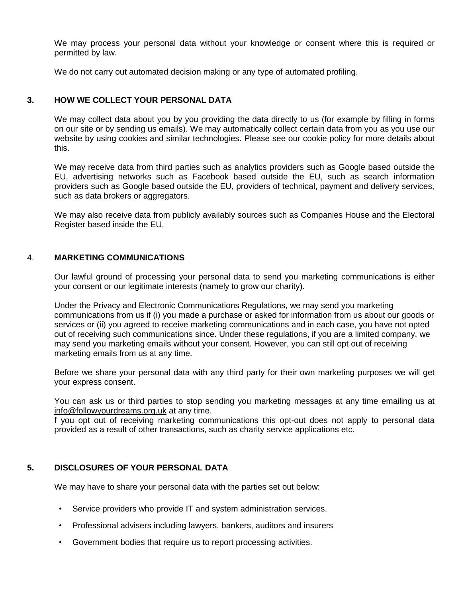We may process your personal data without your knowledge or consent where this is required or permitted by law.

We do not carry out automated decision making or any type of automated profiling.

# **3. HOW WE COLLECT YOUR PERSONAL DATA**

We may collect data about you by you providing the data directly to us (for example by filling in forms on our site or by sending us emails). We may automatically collect certain data from you as you use our website by using cookies and similar technologies. Please see our cookie policy for more details about this.

We may receive data from third parties such as analytics providers such as Google based outside the EU, advertising networks such as Facebook based outside the EU, such as search information providers such as Google based outside the EU, providers of technical, payment and delivery services, such as data brokers or aggregators.

We may also receive data from publicly availably sources such as Companies House and the Electoral Register based inside the EU.

### 4. **MARKETING COMMUNICATIONS**

Our lawful ground of processing your personal data to send you marketing communications is either your consent or our legitimate interests (namely to grow our charity).

Under the Privacy and Electronic Communications Regulations, we may send you marketing communications from us if (i) you made a purchase or asked for information from us about our goods or services or (ii) you agreed to receive marketing communications and in each case, you have not opted out of receiving such communications since. Under these regulations, if you are a limited company, we may send you marketing emails without your consent. However, you can still opt out of receiving marketing emails from us at any time.

Before we share your personal data with any third party for their own marketing purposes we will get your express consent.

You can ask us or third parties to stop sending you marketing messages at any time emailing us at [info@followyourdreams.org.uk](mailto:info@followyourdreams.org.uk) at any time.

f you opt out of receiving marketing communications this opt-out does not apply to personal data provided as a result of other transactions, such as charity service applications etc.

## **5. DISCLOSURES OF YOUR PERSONAL DATA**

We may have to share your personal data with the parties set out below:

- Service providers who provide IT and system administration services.
- Professional advisers including lawyers, bankers, auditors and insurers
- Government bodies that require us to report processing activities.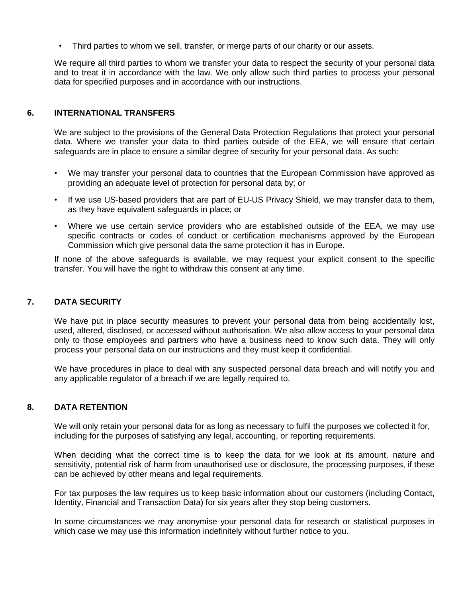• Third parties to whom we sell, transfer, or merge parts of our charity or our assets.

We require all third parties to whom we transfer your data to respect the security of your personal data and to treat it in accordance with the law. We only allow such third parties to process your personal data for specified purposes and in accordance with our instructions.

## **6. INTERNATIONAL TRANSFERS**

We are subject to the provisions of the General Data Protection Regulations that protect your personal data. Where we transfer your data to third parties outside of the EEA, we will ensure that certain safeguards are in place to ensure a similar degree of security for your personal data. As such:

- We may transfer your personal data to countries that the European Commission have approved as providing an adequate level of protection for personal data by; or
- If we use US-based providers that are part of EU-US Privacy Shield, we may transfer data to them, as they have equivalent safeguards in place; or
- Where we use certain service providers who are established outside of the EEA, we may use specific contracts or codes of conduct or certification mechanisms approved by the European Commission which give personal data the same protection it has in Europe.

If none of the above safeguards is available, we may request your explicit consent to the specific transfer. You will have the right to withdraw this consent at any time.

#### **7. DATA SECURITY**

We have put in place security measures to prevent your personal data from being accidentally lost, used, altered, disclosed, or accessed without authorisation. We also allow access to your personal data only to those employees and partners who have a business need to know such data. They will only process your personal data on our instructions and they must keep it confidential.

We have procedures in place to deal with any suspected personal data breach and will notify you and any applicable regulator of a breach if we are legally required to.

#### **8. DATA RETENTION**

We will only retain your personal data for as long as necessary to fulfil the purposes we collected it for, including for the purposes of satisfying any legal, accounting, or reporting requirements.

When deciding what the correct time is to keep the data for we look at its amount, nature and sensitivity, potential risk of harm from unauthorised use or disclosure, the processing purposes, if these can be achieved by other means and legal requirements.

For tax purposes the law requires us to keep basic information about our customers (including Contact, Identity, Financial and Transaction Data) for six years after they stop being customers.

In some circumstances we may anonymise your personal data for research or statistical purposes in which case we may use this information indefinitely without further notice to you.